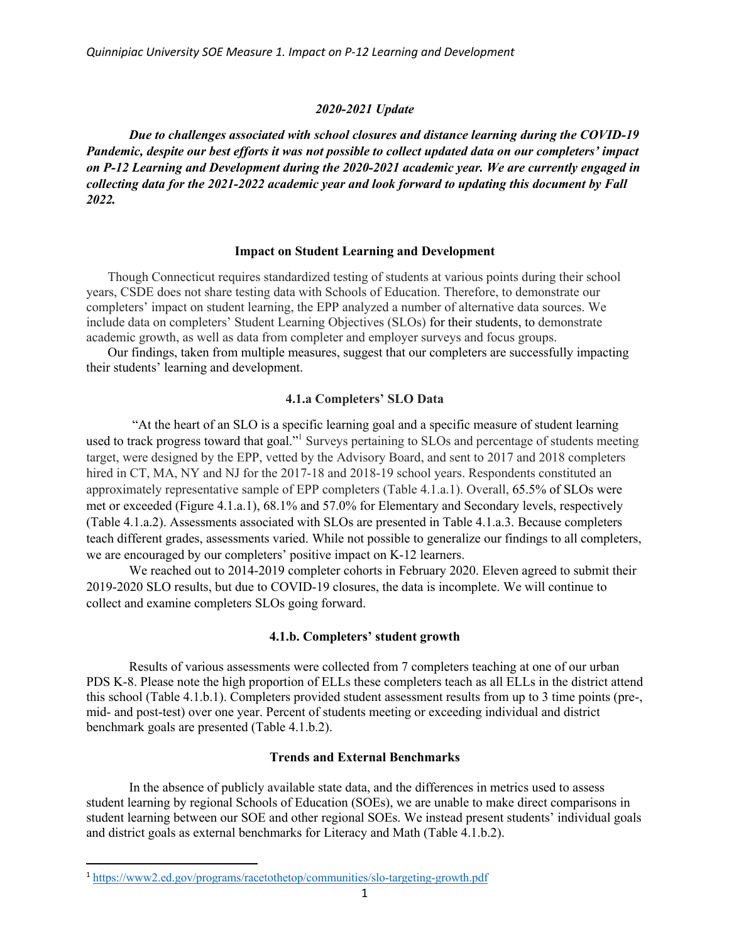#### *2020-2021 Update*

*Due to challenges associated with school closures and distance learning during the COVID-19 Pandemic, despite our best efforts it was not possible to collect updated data on our completers' impact on P-12 Learning and Development during the 2020-2021 academic year. We are currently engaged in collecting data for the 2021-2022 academic year and look forward to updating this document by Fall 2022.*

#### **Impact on Student Learning and Development**

Though Connecticut requires standardized testing of students at various points during their school years, CSDE does not share testing data with Schools of Education. Therefore, to demonstrate our completers' impact on student learning, the EPP analyzed a number of alternative data sources. We include data on completers' Student Learning Objectives (SLOs) for their students, to demonstrate academic growth, as well as data from completer and employer surveys and focus groups.

Our findings, taken from multiple measures, suggest that our completers are successfully impacting their students' learning and development.

# **4.1.a Completers' SLO Data**

"At the heart of an SLO is a specific learning goal and a specific measure of student learning used to track progress toward that goal."1 Surveys pertaining to SLOs and percentage of students meeting target, were designed by the EPP, vetted by the Advisory Board, and sent to 2017 and 2018 completers hired in CT, MA, NY and NJ for the 2017-18 and 2018-19 school years. Respondents constituted an approximately representative sample of EPP completers (Table 4.1.a.1). Overall, 65.5% of SLOs were met or exceeded (Figure 4.1.a.1), 68.1% and 57.0% for Elementary and Secondary levels, respectively (Table 4.1.a.2). Assessments associated with SLOs are presented in Table 4.1.a.3. Because completers teach different grades, assessments varied. While not possible to generalize our findings to all completers, we are encouraged by our completers' positive impact on K-12 learners.

We reached out to 2014-2019 completer cohorts in February 2020. Eleven agreed to submit their 2019-2020 SLO results, but due to COVID-19 closures, the data is incomplete. We will continue to collect and examine completers SLOs going forward.

#### **4.1.b. Completers' student growth**

Results of various assessments were collected from 7 completers teaching at one of our urban PDS K-8. Please note the high proportion of ELLs these completers teach as all ELLs in the district attend this school (Table 4.1.b.1). Completers provided student assessment results from up to 3 time points (pre-, mid- and post-test) over one year. Percent of students meeting or exceeding individual and district benchmark goals are presented (Table 4.1.b.2).

#### **Trends and External Benchmarks**

In the absence of publicly available state data, and the differences in metrics used to assess student learning by regional Schools of Education (SOEs), we are unable to make direct comparisons in student learning between our SOE and other regional SOEs. We instead present students' individual goals and district goals as external benchmarks for Literacy and Math (Table 4.1.b.2).

<sup>1</sup> <https://www2.ed.gov/programs/racetothetop/communities/slo-targeting-growth.pdf>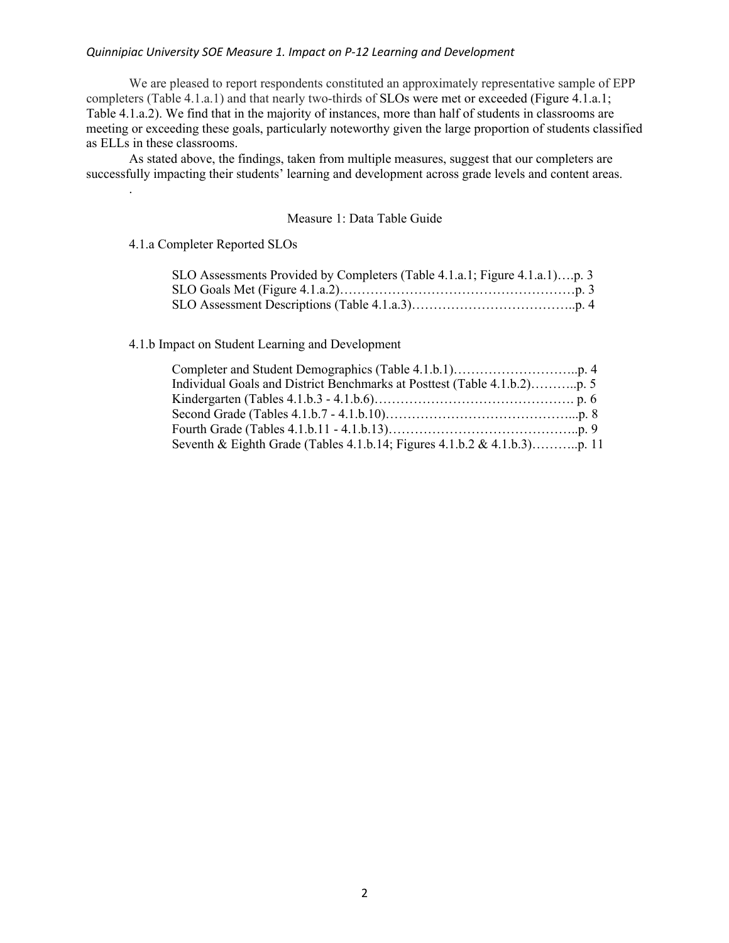# *Quinnipiac University SOE Measure 1. Impact on P-12 Learning and Development*

We are pleased to report respondents constituted an approximately representative sample of EPP completers (Table 4.1.a.1) and that nearly two-thirds of SLOs were met or exceeded (Figure 4.1.a.1; Table 4.1.a.2). We find that in the majority of instances, more than half of students in classrooms are meeting or exceeding these goals, particularly noteworthy given the large proportion of students classified as ELLs in these classrooms.

As stated above, the findings, taken from multiple measures, suggest that our completers are successfully impacting their students' learning and development across grade levels and content areas.

# Measure 1: Data Table Guide

[4.1.a Completer Reported SLOs](#page-2-0) 

.

| SLO Assessments Provided by Completers (Table 4.1.a.1; Figure 4.1.a.1)p. 3 |  |
|----------------------------------------------------------------------------|--|
|                                                                            |  |
|                                                                            |  |

[4.1.b Impact on Student Learning and Development](#page-3-0)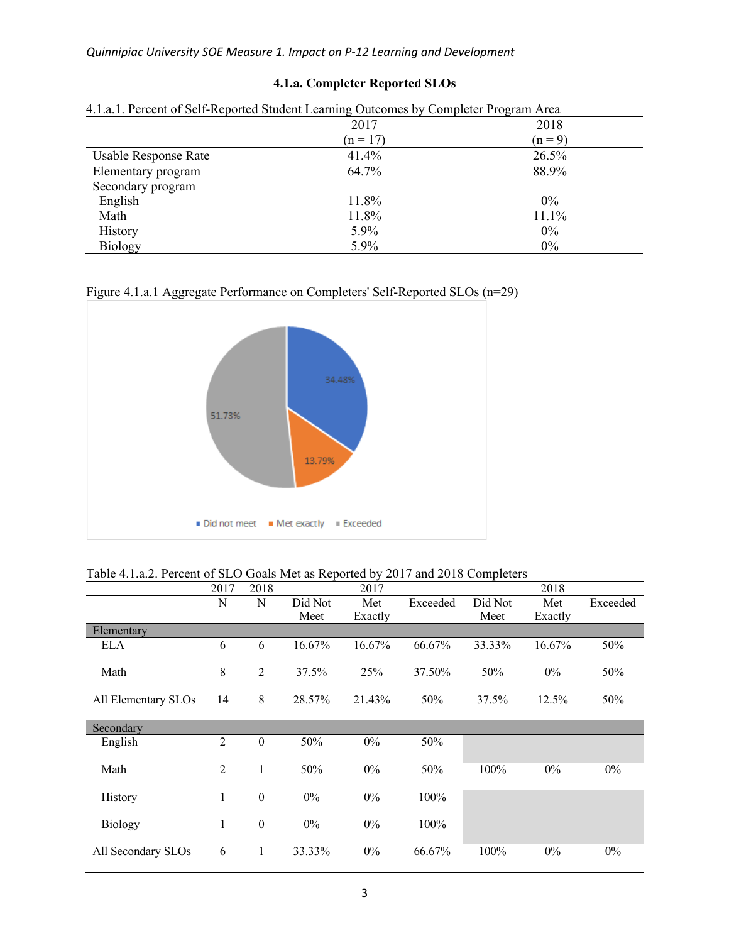<span id="page-2-0"></span>

| 4.1.a.1. Percent of Self-Reported Student Learning Outcomes by Completer Program Area |            |           |  |  |  |
|---------------------------------------------------------------------------------------|------------|-----------|--|--|--|
|                                                                                       | 2017       | 2018      |  |  |  |
|                                                                                       | $(n = 17)$ | $(n = 9)$ |  |  |  |
| Usable Response Rate                                                                  | 41.4%      | 26.5%     |  |  |  |
| Elementary program                                                                    | 64.7%      | 88.9%     |  |  |  |
| Secondary program                                                                     |            |           |  |  |  |
| English                                                                               | 11.8%      | $0\%$     |  |  |  |
| Math                                                                                  | 11.8%      | 11.1%     |  |  |  |
| History                                                                               | 5.9%       | $0\%$     |  |  |  |
| Biology                                                                               | 5.9%       | $0\%$     |  |  |  |

# **4.1.a. Completer Reported SLOs**

| Figure 4.1.a.1 Aggregate Performance on Completers' Self-Reported SLOs (n=29) |  |  |
|-------------------------------------------------------------------------------|--|--|
|                                                                               |  |  |



|  |  | Table 4.1.a.2. Percent of SLO Goals Met as Reported by 2017 and 2018 Completers |
|--|--|---------------------------------------------------------------------------------|
|  |  |                                                                                 |

|                     | 2017           | 2018             |                 | 2017           |          |                 | 2018           |          |
|---------------------|----------------|------------------|-----------------|----------------|----------|-----------------|----------------|----------|
|                     | N              | N                | Did Not<br>Meet | Met<br>Exactly | Exceeded | Did Not<br>Meet | Met<br>Exactly | Exceeded |
| Elementary          |                |                  |                 |                |          |                 |                |          |
| <b>ELA</b>          | 6              | 6                | 16.67%          | 16.67%         | 66.67%   | 33.33%          | 16.67%         | 50%      |
| Math                | 8              | $\overline{2}$   | 37.5%           | 25%            | 37.50%   | 50%             | $0\%$          | 50%      |
| All Elementary SLOs | 14             | 8                | 28.57%          | 21.43%         | 50%      | 37.5%           | $12.5\%$       | 50%      |
| Secondary           |                |                  |                 |                |          |                 |                |          |
| English             | $\overline{2}$ | $\boldsymbol{0}$ | 50%             | $0\%$          | 50%      |                 |                |          |
| Math                | $\overline{2}$ | 1                | 50%             | $0\%$          | 50%      | 100%            | $0\%$          | $0\%$    |
| History             | 1              | $\boldsymbol{0}$ | $0\%$           | 0%             | 100%     |                 |                |          |
| <b>Biology</b>      | $\mathbf{1}$   | $\boldsymbol{0}$ | $0\%$           | 0%             | 100%     |                 |                |          |
| All Secondary SLOs  | 6              | 1                | 33.33%          | 0%             | 66.67%   | 100%            | $0\%$          | $0\%$    |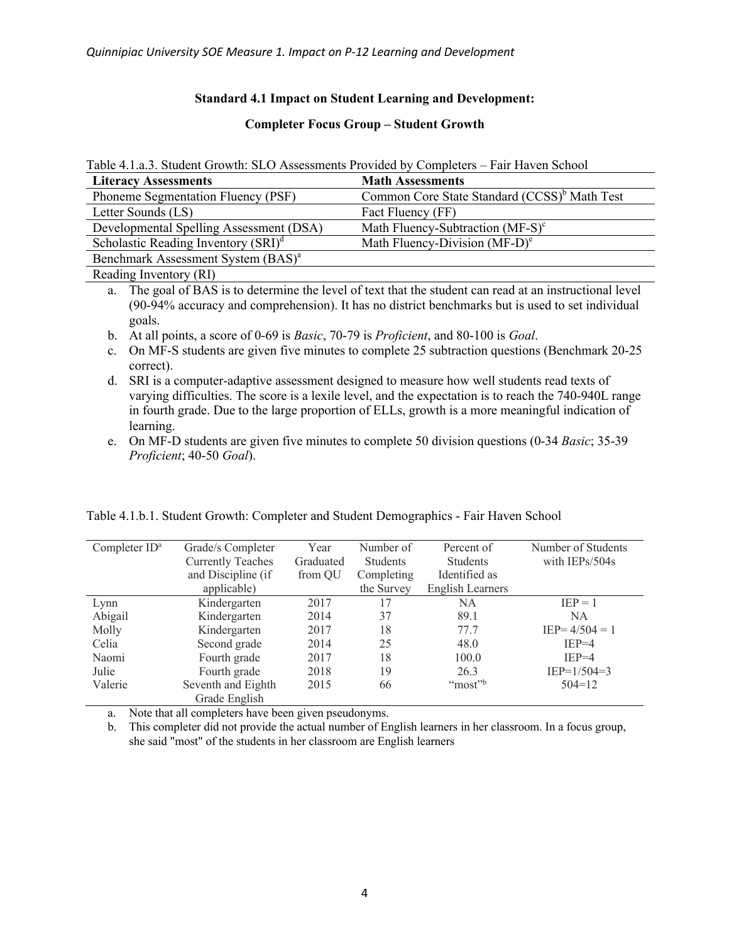# **Standard 4.1 Impact on Student Learning and Development:**

# **Completer Focus Group – Student Growth**

<span id="page-3-0"></span>

| <b>Literacy Assessments</b>                    | <b>Math Assessments</b>                                  |
|------------------------------------------------|----------------------------------------------------------|
| Phoneme Segmentation Fluency (PSF)             | Common Core State Standard (CCSS) <sup>b</sup> Math Test |
| Letter Sounds (LS)                             | Fact Fluency (FF)                                        |
| Developmental Spelling Assessment (DSA)        | Math Fluency-Subtraction $(MF-S)^c$                      |
| Scholastic Reading Inventory $(SRI)^d$         | Math Fluency-Division $(MF-D)^e$                         |
| Benchmark Assessment System (BAS) <sup>a</sup> |                                                          |
| Reading Inventory (RI)                         |                                                          |

a. The goal of BAS is to determine the level of text that the student can read at an instructional level (90-94% accuracy and comprehension). It has no district benchmarks but is used to set individual goals.

- b. At all points, a score of 0-69 is *Basic*, 70-79 is *Proficient*, and 80-100 is *Goal*.
- c. On MF-S students are given five minutes to complete 25 subtraction questions (Benchmark 20-25 correct).
- d. SRI is a computer-adaptive assessment designed to measure how well students read texts of varying difficulties. The score is a lexile level, and the expectation is to reach the 740-940L range in fourth grade. Due to the large proportion of ELLs, growth is a more meaningful indication of learning.
- e. On MF-D students are given five minutes to complete 50 division questions (0-34 *Basic*; 35-39 *Proficient*; 40-50 *Goal*).

| Completer ID <sup>a</sup> | Grade/s Completer        | Year      | Number of       | Percent of              | Number of Students |
|---------------------------|--------------------------|-----------|-----------------|-------------------------|--------------------|
|                           | <b>Currently Teaches</b> | Graduated | <b>Students</b> | <b>Students</b>         | with IEPs/504s     |
|                           | and Discipline (if       | from QU   | Completing      | Identified as           |                    |
|                           | applicable)              |           | the Survey      | <b>English Learners</b> |                    |
| Lynn                      | Kindergarten             | 2017      | 17              | <b>NA</b>               | $IEP = 1$          |
| Abigail                   | Kindergarten             | 2014      | 37              | 89.1                    | <b>NA</b>          |
| Molly                     | Kindergarten             | 2017      | 18              | 77.7                    | $IEP = 4/504 = 1$  |
| Celia                     | Second grade             | 2014      | 25              | 48.0                    | $IEP=4$            |
| Naomi                     | Fourth grade             | 2017      | 18              | 100.0                   | $IEP=4$            |
| Julie                     | Fourth grade             | 2018      | 19              | 26.3                    | $IEP=1/504=3$      |
| Valerie                   | Seventh and Eighth       | 2015      | 66              | "most"                  | $504 = 12$         |
|                           | Grade English            |           |                 |                         |                    |

Table 4.1.b.1. Student Growth: Completer and Student Demographics - Fair Haven School

a. Note that all completers have been given pseudonyms.

b. This completer did not provide the actual number of English learners in her classroom. In a focus group, she said "most" of the students in her classroom are English learners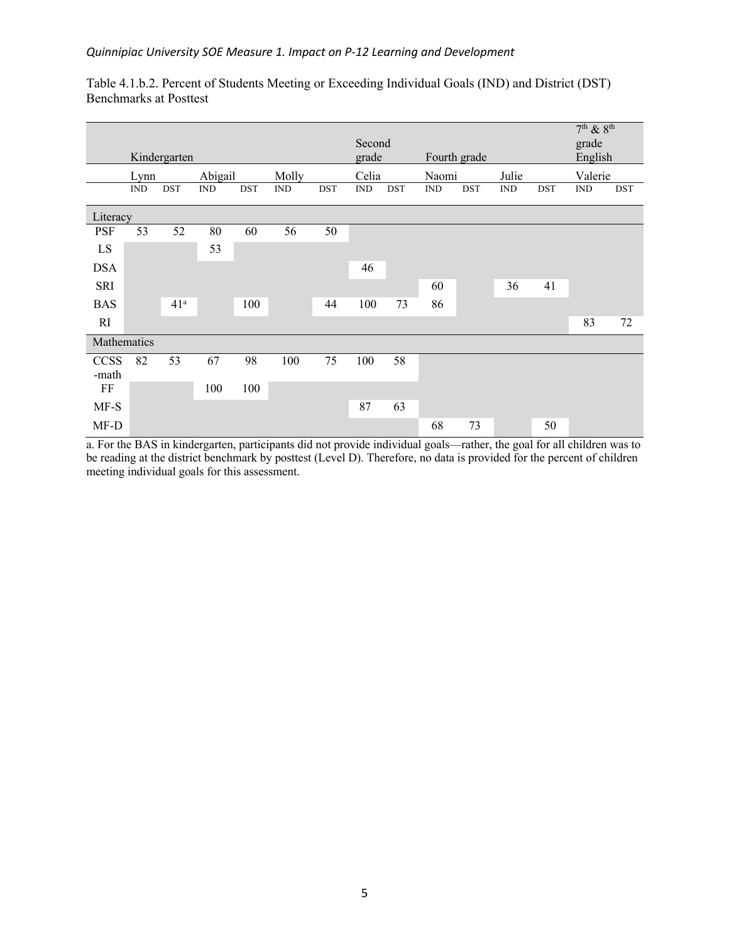| Table 4.1.b.2. Percent of Students Meeting or Exceeding Individual Goals (IND) and District (DST) |  |
|---------------------------------------------------------------------------------------------------|--|
| Benchmarks at Posttest                                                                            |  |

|             |                             |                 |                             |     |                             |            |                             |            |                             |              |            |              | $7th$ & $8th$               |            |
|-------------|-----------------------------|-----------------|-----------------------------|-----|-----------------------------|------------|-----------------------------|------------|-----------------------------|--------------|------------|--------------|-----------------------------|------------|
|             |                             | Kindergarten    |                             |     |                             |            | Second<br>grade             |            |                             | Fourth grade |            |              | grade<br>English            |            |
|             | Lynn                        |                 | Abigail                     |     | Molly                       |            | Celia                       |            | Naomi                       |              | Julie      |              | Valerie                     |            |
|             | $\mathop{\rm IND}\nolimits$ | DST             | $\mathop{\rm IND}\nolimits$ | DST | $\mathop{\rm IND}\nolimits$ | <b>DST</b> | $\mathop{\rm IND}\nolimits$ | <b>DST</b> | $\mathop{\rm IND}\nolimits$ | <b>DST</b>   | <b>IND</b> | $_{\rm DST}$ | $\mathop{\rm IND}\nolimits$ | <b>DST</b> |
| Literacy    |                             |                 |                             |     |                             |            |                             |            |                             |              |            |              |                             |            |
| <b>PSF</b>  | 53                          | 52              | 80                          | 60  | 56                          | 50         |                             |            |                             |              |            |              |                             |            |
| LS          |                             |                 | 53                          |     |                             |            |                             |            |                             |              |            |              |                             |            |
| <b>DSA</b>  |                             |                 |                             |     |                             |            | 46                          |            |                             |              |            |              |                             |            |
| SRI         |                             |                 |                             |     |                             |            |                             |            | 60                          |              | 36         | 41           |                             |            |
| <b>BAS</b>  |                             | 41 <sup>a</sup> |                             | 100 |                             | 44         | 100                         | 73         | 86                          |              |            |              |                             |            |
| RI          |                             |                 |                             |     |                             |            |                             |            |                             |              |            |              | 83                          | 72         |
| Mathematics |                             |                 |                             |     |                             |            |                             |            |                             |              |            |              |                             |            |
| <b>CCSS</b> | 82                          | 53              | 67                          | 98  | 100                         | 75         | 100                         | 58         |                             |              |            |              |                             |            |
| -math<br>FF |                             |                 | 100                         | 100 |                             |            |                             |            |                             |              |            |              |                             |            |
|             |                             |                 |                             |     |                             |            |                             |            |                             |              |            |              |                             |            |
| $MF-S$      |                             |                 |                             |     |                             |            | 87                          | 63         |                             |              |            |              |                             |            |
| MF-D        |                             |                 |                             |     |                             |            |                             |            | 68                          | 73           |            | 50           |                             |            |

a. For the BAS in kindergarten, participants did not provide individual goals—rather, the goal for all children was to be reading at the district benchmark by posttest (Level D). Therefore, no data is provided for the percent of children meeting individual goals for this assessment.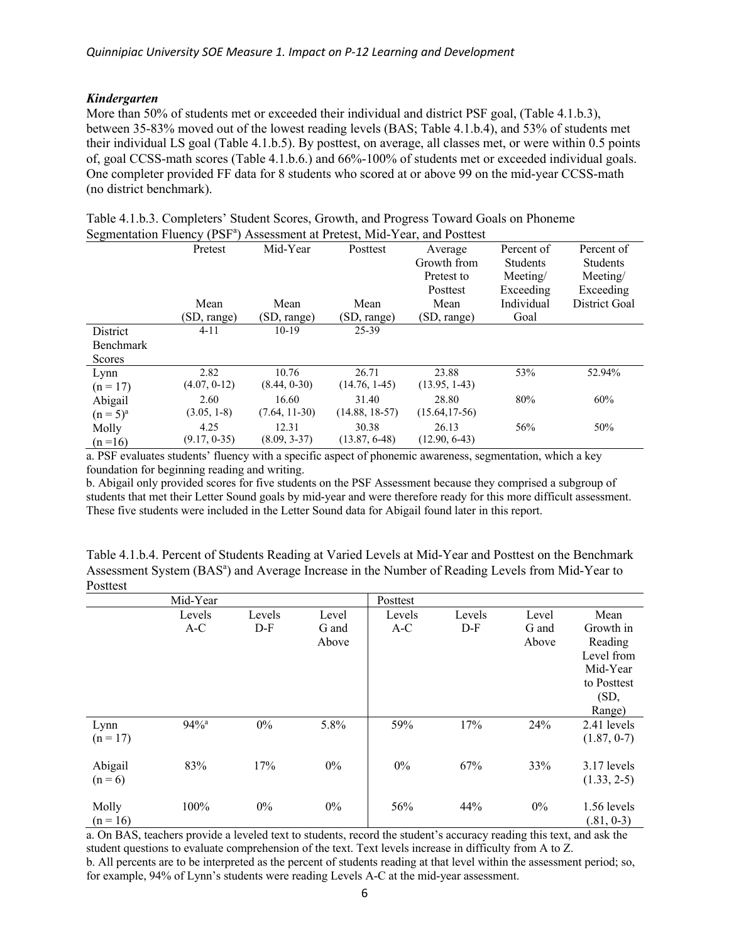# <span id="page-5-0"></span>*Kindergarten*

More than 50% of students met or exceeded their individual and district PSF goal, (Table 4.1.b.3), between 35-83% moved out of the lowest reading levels (BAS; Table 4.1.b.4), and 53% of students met their individual LS goal (Table 4.1.b.5). By posttest, on average, all classes met, or were within 0.5 points of, goal CCSS-math scores (Table 4.1.b.6.) and 66%-100% of students met or exceeded individual goals. One completer provided FF data for 8 students who scored at or above 99 on the mid-year CCSS-math (no district benchmark).

|                  | Pretest       | Mid-Year        | Posttest         | Average          | Percent of      | Percent of      |
|------------------|---------------|-----------------|------------------|------------------|-----------------|-----------------|
|                  |               |                 |                  | Growth from      | <b>Students</b> | <b>Students</b> |
|                  |               |                 |                  | Pretest to       | Meeting/        | Meeting/        |
|                  |               |                 |                  | Posttest         | Exceeding       | Exceeding       |
|                  | Mean          | Mean            | Mean             | Mean             | Individual      | District Goal   |
|                  | (SD, range)   | (SD, range)     | (SD, range)      | (SD, range)      | Goal            |                 |
| <b>District</b>  | $4 - 11$      | $10-19$         | 25-39            |                  |                 |                 |
| <b>Benchmark</b> |               |                 |                  |                  |                 |                 |
| Scores           |               |                 |                  |                  |                 |                 |
| Lynn             | 2.82          | 10.76           | 26.71            | 23.88            | 53%             | 52.94%          |
| $(n = 17)$       | (4.07, 0.12)  | (8.44, 0.30)    | $(14.76, 1-45)$  | $(13.95, 1-43)$  |                 |                 |
| Abigail          | 2.60          | 16.60           | 31.40            | 28.80            | 80%             | 60%             |
| $(n = 5)^{a}$    | $(3.05, 1-8)$ | $(7.64, 11-30)$ | $(14.88, 18-57)$ | $(15.64, 17-56)$ |                 |                 |
| Molly            | 4.25          | 12.31           | 30.38            | 26.13            | 56%             | 50%             |
| $(n=16)$         | (9.17, 0.35)  | $(8.09, 3-37)$  | $(13.87, 6-48)$  | $(12.90, 6-43)$  |                 |                 |

Table 4.1.b.3. Completers' Student Scores, Growth, and Progress Toward Goals on Phoneme Segmentation Fluency (PSF<sup>a</sup>) Assessment at Pretest, Mid-Year, and Posttest

a. PSF evaluates students' fluency with a specific aspect of phonemic awareness, segmentation, which a key foundation for beginning reading and writing.

b. Abigail only provided scores for five students on the PSF Assessment because they comprised a subgroup of students that met their Letter Sound goals by mid-year and were therefore ready for this more difficult assessment. These five students were included in the Letter Sound data for Abigail found later in this report.

Table 4.1.b.4. Percent of Students Reading at Varied Levels at Mid-Year and Posttest on the Benchmark Assessment System (BAS<sup>a</sup>) and Average Increase in the Number of Reading Levels from Mid-Year to Posttest

|                      | Mid-Year           |                 |                         | Posttest        |                 |                         |                                                                                         |
|----------------------|--------------------|-----------------|-------------------------|-----------------|-----------------|-------------------------|-----------------------------------------------------------------------------------------|
|                      | Levels<br>$A-C$    | Levels<br>$D-F$ | Level<br>G and<br>Above | Levels<br>$A-C$ | Levels<br>$D-F$ | Level<br>G and<br>Above | Mean<br>Growth in<br>Reading<br>Level from<br>Mid-Year<br>to Posttest<br>(SD,<br>Range) |
| Lynn<br>$(n = 17)$   | $94%$ <sup>a</sup> | $0\%$           | 5.8%                    | 59%             | 17%             | 24%                     | 2.41 levels<br>(1.87, 0.7)                                                              |
| Abigail<br>$(n = 6)$ | 83%                | 17%             | $0\%$                   | $0\%$           | 67%             | 33%                     | 3.17 levels<br>$(1.33, 2-5)$                                                            |
| Molly<br>$(n = 16)$  | 100%               | $0\%$           | $0\%$                   | 56%             | 44%             | $0\%$                   | 1.56 levels<br>$(.81, 0-3)$                                                             |

a. On BAS, teachers provide a leveled text to students, record the student's accuracy reading this text, and ask the student questions to evaluate comprehension of the text. Text levels increase in difficulty from A to Z. b. All percents are to be interpreted as the percent of students reading at that level within the assessment period; so, for example, 94% of Lynn's students were reading Levels A-C at the mid-year assessment.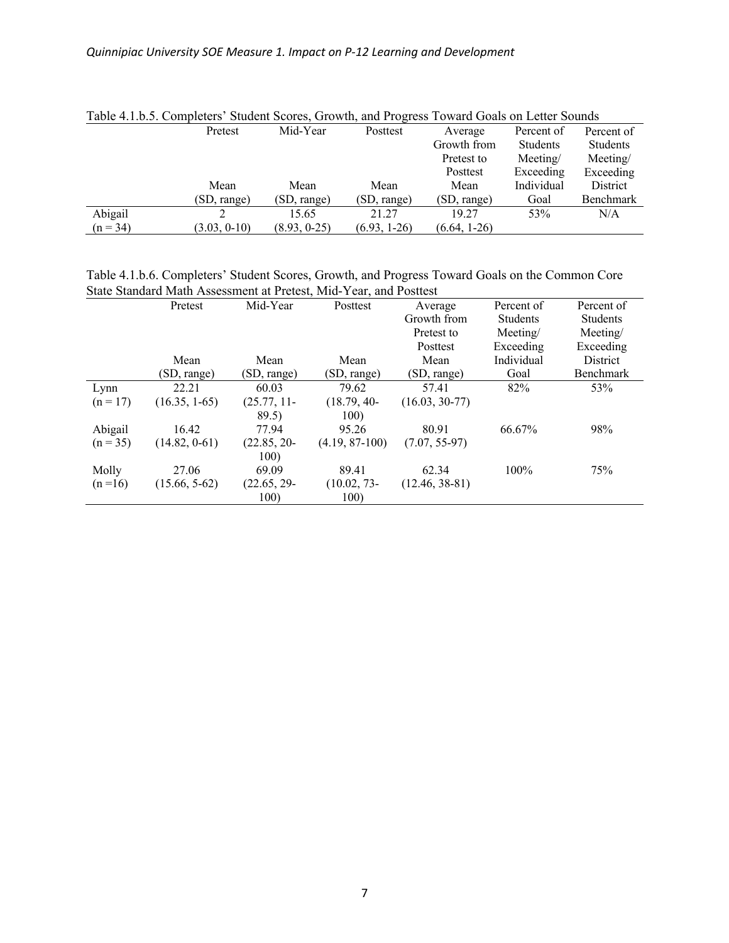|            | Table 1.1.0.9. Completely Diagont Decres, Growin, and Fregress Toward Obais on Ection Dounds |              |                |                |            |            |
|------------|----------------------------------------------------------------------------------------------|--------------|----------------|----------------|------------|------------|
|            | Pretest                                                                                      | Mid-Year     | Posttest       | Average        | Percent of | Percent of |
|            |                                                                                              |              |                | Growth from    | Students   | Students   |
|            |                                                                                              |              |                | Pretest to     | Mecting/   | Meeting/   |
|            |                                                                                              |              |                | Posttest       | Exceeding  | Exceeding  |
|            | Mean                                                                                         | Mean         | Mean           | Mean           | Individual | District   |
|            | (SD, range)                                                                                  | (SD, range)  | (SD, range)    | (SD, range)    | Goal       | Benchmark  |
| Abigail    |                                                                                              | 15.65        | 21.27          | 19.27          | 53%        | N/A        |
| $(n = 34)$ | (3.03, 0.10)                                                                                 | (8.93, 0.25) | $(6.93, 1-26)$ | $(6.64, 1-26)$ |            |            |

Table 4.1.b.5. Completers' Student Scores, Growth, and Progress Toward Goals on Letter Sounds

Table 4.1.b.6. Completers' Student Scores, Growth, and Progress Toward Goals on the Common Core State Standard Math Assessment at Pretest, Mid-Year, and Posttest

|            | Pretest         | Mid-Year      | Posttest         | Average          | Percent of | Percent of      |
|------------|-----------------|---------------|------------------|------------------|------------|-----------------|
|            |                 |               |                  | Growth from      | Students   | <b>Students</b> |
|            |                 |               |                  | Pretest to       | Meeting/   | Meeting/        |
|            |                 |               |                  | Posttest         | Exceeding  | Exceeding       |
|            | Mean            | Mean          | Mean             | Mean             | Individual | <b>District</b> |
|            | (SD, range)     | (SD, range)   | (SD, range)      | (SD, range)      | Goal       | Benchmark       |
| Lynn       | 22.21           | 60.03         | 79.62            | 57.41            | 82%        | 53%             |
| $(n = 17)$ | $(16.35, 1-65)$ | (25.77, 11    | $(18.79, 40-$    | $(16.03, 30-77)$ |            |                 |
|            |                 | 89.5)         | 100)             |                  |            |                 |
| Abigail    | 16.42           | 77.94         | 95.26            | 80.91            | 66.67%     | 98%             |
| $(n = 35)$ | (14.82, 0.61)   | $(22.85, 20-$ | $(4.19, 87-100)$ | $(7.07, 55-97)$  |            |                 |
|            |                 | 100)          |                  |                  |            |                 |
| Molly      | 27.06           | 69.09         | 89.41            | 62.34            | 100%       | 75%             |
| $(n=16)$   | $(15.66, 5-62)$ | $(22.65, 29-$ | $(10.02, 73-$    | $(12.46, 38-81)$ |            |                 |
|            |                 | 100)          | 100)             |                  |            |                 |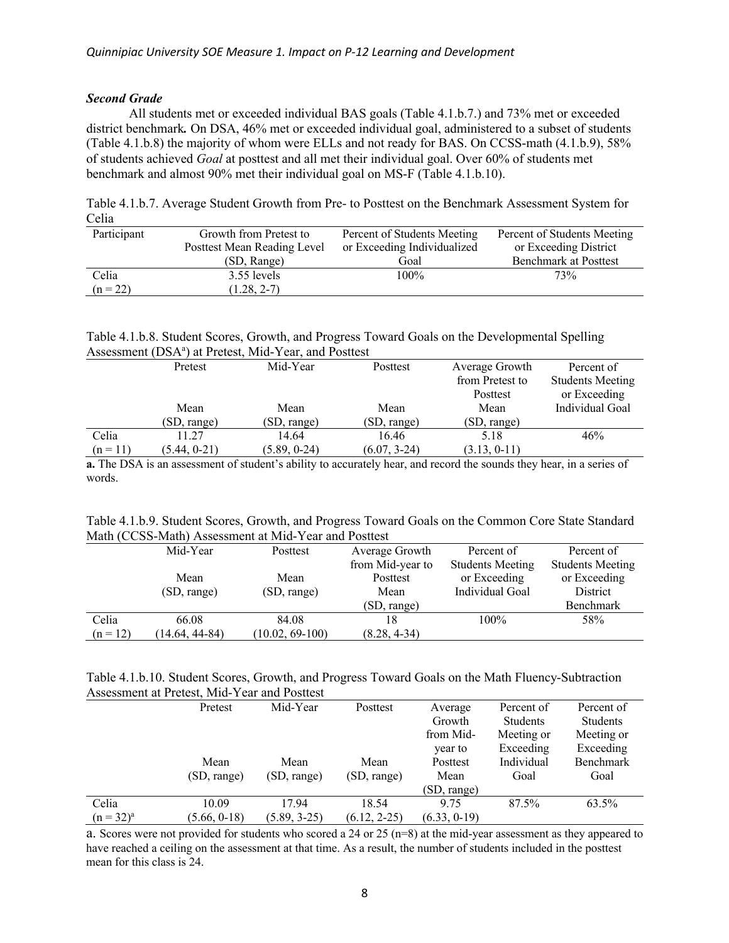# <span id="page-7-0"></span>*Second Grade*

All students met or exceeded individual BAS goals (Table 4.1.b.7.) and 73% met or exceeded district benchmark*.* On DSA, 46% met or exceeded individual goal, administered to a subset of students (Table 4.1.b.8) the majority of whom were ELLs and not ready for BAS. On CCSS-math (4.1.b.9), 58% of students achieved *Goal* at posttest and all met their individual goal. Over 60% of students met benchmark and almost 90% met their individual goal on MS-F (Table 4.1.b.10).

| Table 4.1.b.7. Average Student Growth from Pre- to Posttest on the Benchmark Assessment System for |  |
|----------------------------------------------------------------------------------------------------|--|
| Celia                                                                                              |  |

| Participant | Growth from Pretest to      | Percent of Students Meeting | Percent of Students Meeting  |
|-------------|-----------------------------|-----------------------------|------------------------------|
|             | Posttest Mean Reading Level | or Exceeding Individualized | or Exceeding District        |
|             | (SD, Range)                 | Goal                        | <b>Benchmark at Posttest</b> |
| Celia       | 3.55 levels                 | $100\%$                     | 73%                          |
| $(n = 22)$  | $(1.28, 2-7)$               |                             |                              |

# Table 4.1.b.8. Student Scores, Growth, and Progress Toward Goals on the Developmental Spelling Assessment (DSA<sup>ª</sup>) at Pretest, Mid-Year, and Posttest

|            | Pretest        | Mid-Year     | Posttest       | Average Growth  | Percent of              |
|------------|----------------|--------------|----------------|-----------------|-------------------------|
|            |                |              |                | from Pretest to | <b>Students Meeting</b> |
|            |                |              |                | Posttest        | or Exceeding            |
|            | Mean           | Mean         | Mean           | Mean            | Individual Goal         |
|            | (SD, range)    | (SD, range)  | (SD, range)    | (SD, range)     |                         |
| Celia      | 11.27          | 14.64        | 16.46          | 5.18            | 46%                     |
| $(n = 11)$ | $(5.44, 0-21)$ | (5.89, 0.24) | $(6.07, 3-24)$ | (3.13, 0.11)    |                         |

**a.** The DSA is an assessment of student's ability to accurately hear, and record the sounds they hear, in a series of words.

| Table 4.1.b.9. Student Scores, Growth, and Progress Toward Goals on the Common Core State Standard |  |  |  |  |  |  |
|----------------------------------------------------------------------------------------------------|--|--|--|--|--|--|
| Math (CCSS-Math) Assessment at Mid-Year and Posttest                                               |  |  |  |  |  |  |

|            | Mid-Year         | Posttest          | Average Growth   | Percent of              | Percent of              |
|------------|------------------|-------------------|------------------|-------------------------|-------------------------|
|            |                  |                   | from Mid-year to | <b>Students Meeting</b> | <b>Students Meeting</b> |
|            | Mean             | Mean              | Posttest         | or Exceeding            | or Exceeding            |
|            | (SD, range)      | (SD, range)       | Mean             | Individual Goal         | District                |
|            |                  |                   | (SD, range)      |                         | Benchmark               |
| Celia      | 66.08            | 84.08             |                  | 100%                    | 58%                     |
| $(n = 12)$ | $(14.64, 44-84)$ | $(10.02, 69-100)$ | $(8.28, 4-34)$   |                         |                         |

| Table 4.1.b.10. Student Scores, Growth, and Progress Toward Goals on the Math Fluency-Subtraction |  |  |
|---------------------------------------------------------------------------------------------------|--|--|
| Assessment at Pretest, Mid-Year and Posttest                                                      |  |  |

|                | Pretest      | Mid-Year       | Posttest       | Average      | Percent of | Percent of |
|----------------|--------------|----------------|----------------|--------------|------------|------------|
|                |              |                |                | Growth       | Students   | Students   |
|                |              |                |                | from Mid-    | Meeting or | Meeting or |
|                |              |                |                | year to      | Exceeding  | Exceeding  |
|                | Mean         | Mean           | Mean           | Posttest     | Individual | Benchmark  |
|                | (SD, range)  | (SD, range)    | (SD, range)    | Mean         | Goal       | Goal       |
|                |              |                |                | (SD, range)  |            |            |
| Celia          | 10.09        | 17.94          | 18.54          | 9.75         | 87.5%      | 63.5%      |
| $(n = 32)^{a}$ | (5.66, 0.18) | $(5.89, 3-25)$ | $(6.12, 2-25)$ | (6.33, 0.19) |            |            |

a. Scores were not provided for students who scored a 24 or 25 (n=8) at the mid-year assessment as they appeared to have reached a ceiling on the assessment at that time. As a result, the number of students included in the posttest mean for this class is 24.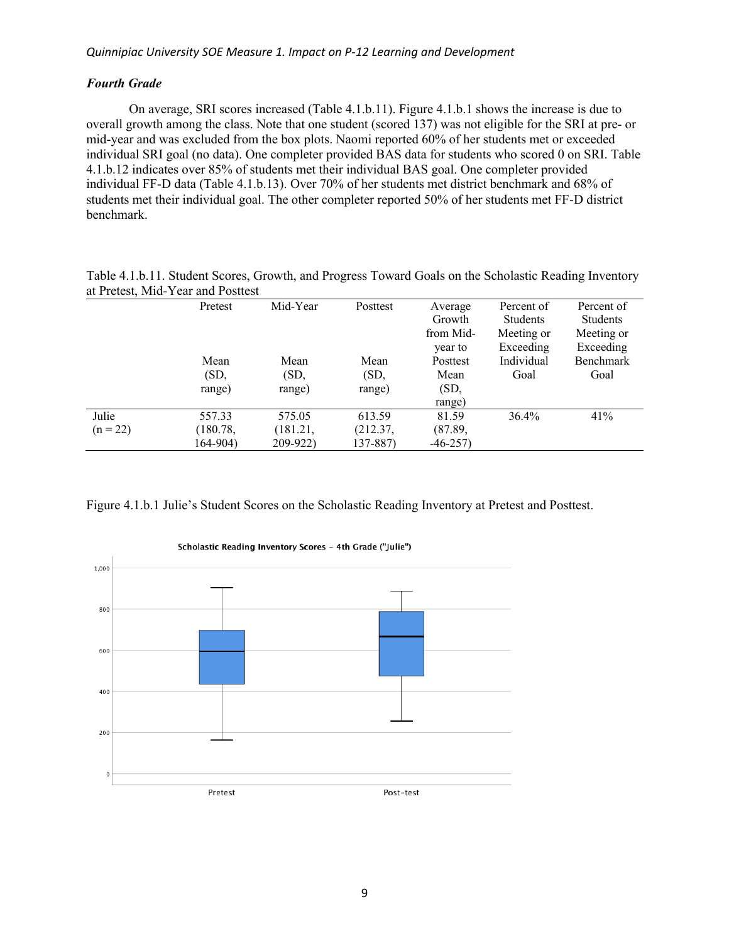# <span id="page-8-0"></span>*Fourth Grade*

On average, SRI scores increased (Table 4.1.b.11). Figure 4.1.b.1 shows the increase is due to overall growth among the class. Note that one student (scored 137) was not eligible for the SRI at pre- or mid-year and was excluded from the box plots. Naomi reported 60% of her students met or exceeded individual SRI goal (no data). One completer provided BAS data for students who scored 0 on SRI. Table 4.1.b.12 indicates over 85% of students met their individual BAS goal. One completer provided individual FF-D data (Table 4.1.b.13). Over 70% of her students met district benchmark and 68% of students met their individual goal. The other completer reported 50% of her students met FF-D district benchmark.

Table 4.1.b.11. Student Scores, Growth, and Progress Toward Goals on the Scholastic Reading Inventory at Pretest, Mid-Year and Posttest

|            | Pretest  | Mid-Year | Posttest | Average   | Percent of      | Percent of |
|------------|----------|----------|----------|-----------|-----------------|------------|
|            |          |          |          | Growth    | <b>Students</b> | Students   |
|            |          |          |          | from Mid- | Meeting or      | Meeting or |
|            |          |          |          | year to   | Exceeding       | Exceeding  |
|            | Mean     | Mean     | Mean     | Posttest  | Individual      | Benchmark  |
|            | (SD,     | (SD,     | (SD,     | Mean      | Goal            | Goal       |
|            | range)   | range)   | range)   | (SD,      |                 |            |
|            |          |          |          | range)    |                 |            |
| Julie      | 557.33   | 575.05   | 613.59   | 81.59     | $36.4\%$        | 41%        |
| $(n = 22)$ | (180.78, | (181.21, | (212.37, | (87.89,   |                 |            |
|            | 164-904) | 209-922) | 137-887) | $-46-257$ |                 |            |

Figure 4.1.b.1 Julie's Student Scores on the Scholastic Reading Inventory at Pretest and Posttest.



Scholastic Reading Inventory Scores - 4th Grade ("Julie")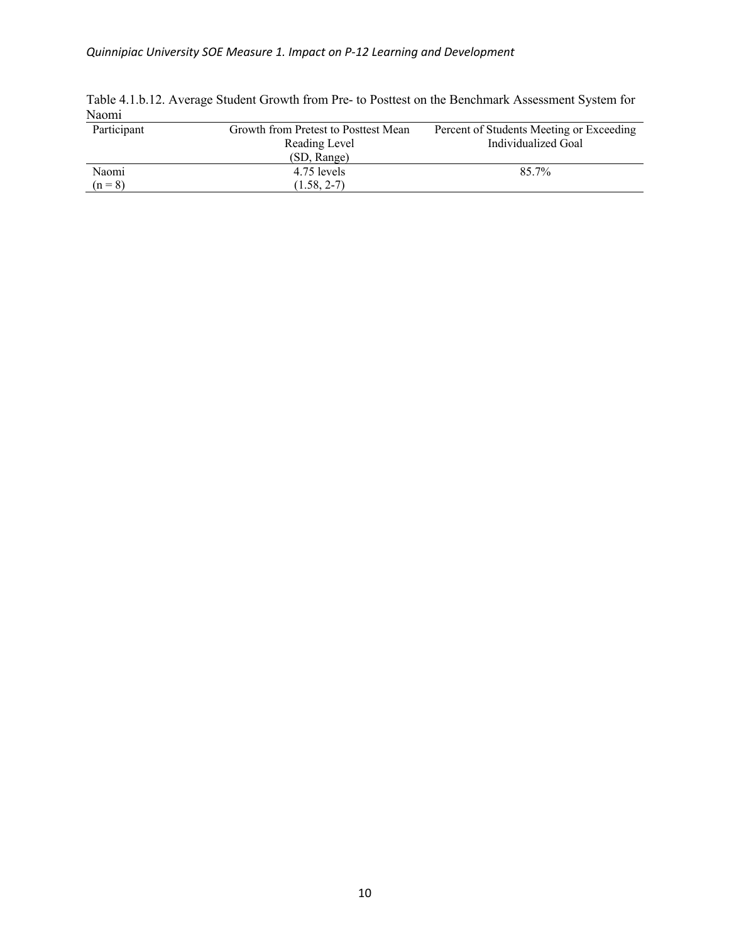| Participant | Growth from Pretest to Posttest Mean<br>Reading Level | Percent of Students Meeting or Exceeding<br>Individualized Goal |
|-------------|-------------------------------------------------------|-----------------------------------------------------------------|
|             | (SD, Range)                                           |                                                                 |
| Naomi       | 4.75 levels                                           | 85.7%                                                           |
| $(n = 8)$   | $(1.58, 2-7)$                                         |                                                                 |

Table 4.1.b.12. Average Student Growth from Pre- to Posttest on the Benchmark Assessment System for Naomi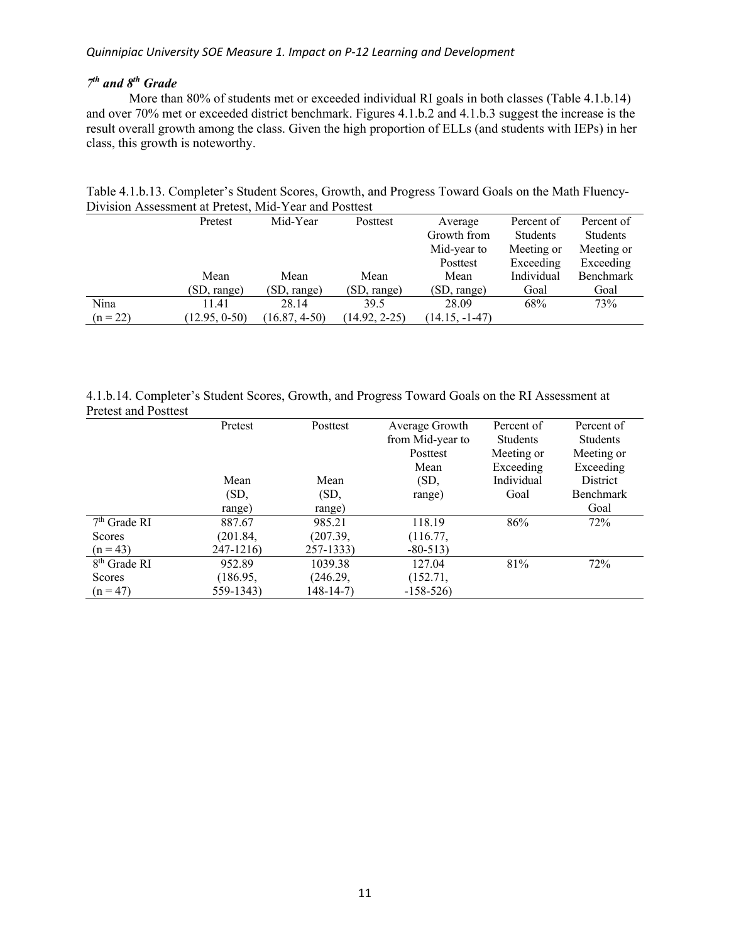### <span id="page-10-0"></span>*Quinnipiac University SOE Measure 1. Impact on P-12 Learning and Development*

# *7th and 8th Grade*

More than 80% of students met or exceeded individual RI goals in both classes (Table 4.1.b.14) and over 70% met or exceeded district benchmark. Figures 4.1.b.2 and 4.1.b.3 suggest the increase is the result overall growth among the class. Given the high proportion of ELLs (and students with IEPs) in her class, this growth is noteworthy.

| DIVISION ASSESSMENT at I futust, iVIIG- I cal and I osticst |               |                 |                 |                  |            |                 |  |  |  |  |
|-------------------------------------------------------------|---------------|-----------------|-----------------|------------------|------------|-----------------|--|--|--|--|
|                                                             | Pretest       | Mid-Year        | Posttest        | Average          | Percent of | Percent of      |  |  |  |  |
|                                                             |               |                 |                 | Growth from      | Students   | <b>Students</b> |  |  |  |  |
|                                                             |               |                 |                 | Mid-year to      | Meeting or | Meeting or      |  |  |  |  |
|                                                             |               |                 |                 | Posttest         | Exceeding  | Exceeding       |  |  |  |  |
|                                                             | Mean          | Mean            | Mean            | Mean             | Individual | Benchmark       |  |  |  |  |
|                                                             | (SD, range)   | (SD, range)     | (SD, range)     | (SD, range)      | Goal       | Goal            |  |  |  |  |
| Nina                                                        | 11.41         | 28.14           | 39.5            | 28.09            | 68%        | 73%             |  |  |  |  |
| $(n = 22)$                                                  | (12.95, 0.50) | $(16.87, 4-50)$ | $(14.92, 2-25)$ | $(14.15, -1-47)$ |            |                 |  |  |  |  |

Table 4.1.b.13. Completer's Student Scores, Growth, and Progress Toward Goals on the Math Fluency-Division Assessment at Pretest, Mid-Year and Posttest

4.1.b.14. Completer's Student Scores, Growth, and Progress Toward Goals on the RI Assessment at Pretest and Posttest

|                          | Pretest   | Posttest  | Average Growth   | Percent of | Percent of |
|--------------------------|-----------|-----------|------------------|------------|------------|
|                          |           |           | from Mid-year to | Students   | Students   |
|                          |           |           | Posttest         | Meeting or | Meeting or |
|                          |           |           | Mean             | Exceeding  | Exceeding  |
|                          | Mean      | Mean      | (SD,             | Individual | District   |
|                          | (SD,      | (SD,      | range)           | Goal       | Benchmark  |
|                          | range)    | range)    |                  |            | Goal       |
| $7th$ Grade RI           | 887.67    | 985.21    | 118.19           | 86%        | 72%        |
| Scores                   | (201.84,  | (207.39,  | (116.77,         |            |            |
| $(n = 43)$               | 247-1216) | 257-1333) | $-80-513$        |            |            |
| 8 <sup>th</sup> Grade RI | 952.89    | 1039.38   | 127.04           | 81%        | 72%        |
| Scores                   | (186.95,  | (246.29,  | (152.71,         |            |            |
| $(n = 47)$               | 559-1343) | 148-14-7) | $-158-526$       |            |            |